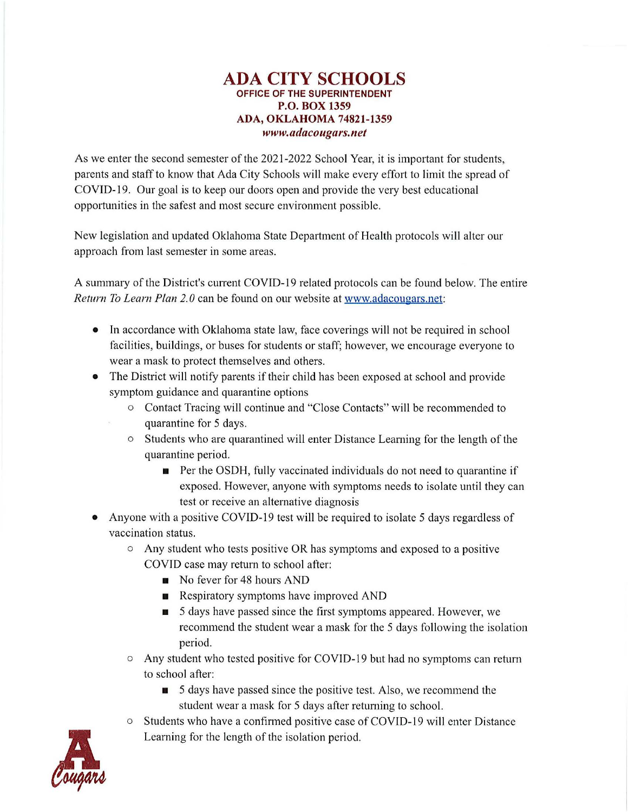## **ADA CITY SCHOOLS OFFICE OF THE SUPERINTENDENT P.O. BOX 1359 ADA, OKLAHOMA 74821-1359**  *<www.adacougars.net>*

As we enter the second semester of the 2021-2022 School Year, it is important for students, parents and staff to know that Ada City Schools will make every effort to limit the spread of COVID-19. Our goal is to keep our doors open and provide the very best educational opportunities in the safest and most secure environment possible.

New legislation and updated Oklahoma State Department of Health protocols will alter our approach from last semester in some areas.

A summary of the District's current COVID-19 related protocols can be found below. The entire *Return To Learn Plan 2.0* can be found on our website at [www.adacougars.net:](www.adacougars.net)

- In accordance with Oklahoma state law, face coverings will not be required in school facilities, buildings, or buses for students or staff; however, we encourage everyone to wear a mask to protect themselves and others.
- The District will notify parents if their child has been exposed at school and provide symptom guidance and quarantine options
	- o Contact Tracing will continue and "Close Contacts" will be recommended to quarantine for 5 days.
	- o Students who are quarantined will enter Distance Learning for the length of the quarantine period.
		- Per the OSDH, fully vaccinated individuals do not need to quarantine if exposed. However, anyone with symptoms needs to isolate until they can test or receive an alternative diagnosis
- Anyone with a positive COVID-19 test will be required to isolate 5 days regardless of vaccination status.
	- o Any student who tests positive OR has symptoms and exposed to a positive COVID case may return to school after:
		- No fever for 48 hours AND
		- Respiratory symptoms have improved AND
		- 5 days have passed since the first symptoms appeared. However, we recommend the student wear a mask for the 5 days following the isolation period.
	- $\circ$  Any student who tested positive for COVID-19 but had no symptoms can return to school after:
		- 5 days have passed since the positive test. Also, we recommend the student wear a mask for 5 days after returning to school.
	- o Students who have a confinned positive case of COVID-19 will enter Distance Learning for the length of the isolation period.